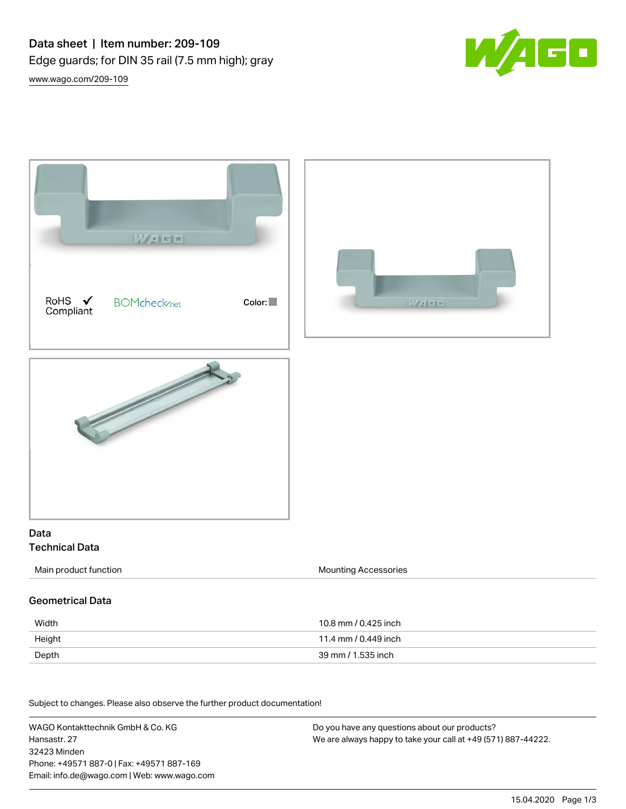



Subject to changes. Please also observe the further product documentation! Material Data

WAGO Kontakttechnik GmbH & Co. KG Hansastr. 27 32423 Minden Phone: +49571 887-0 | Fax: +49571 887-169 Email: info.de@wago.com | Web: www.wago.com Do you have any questions about our products? We are always happy to take your call at +49 (571) 887-44222.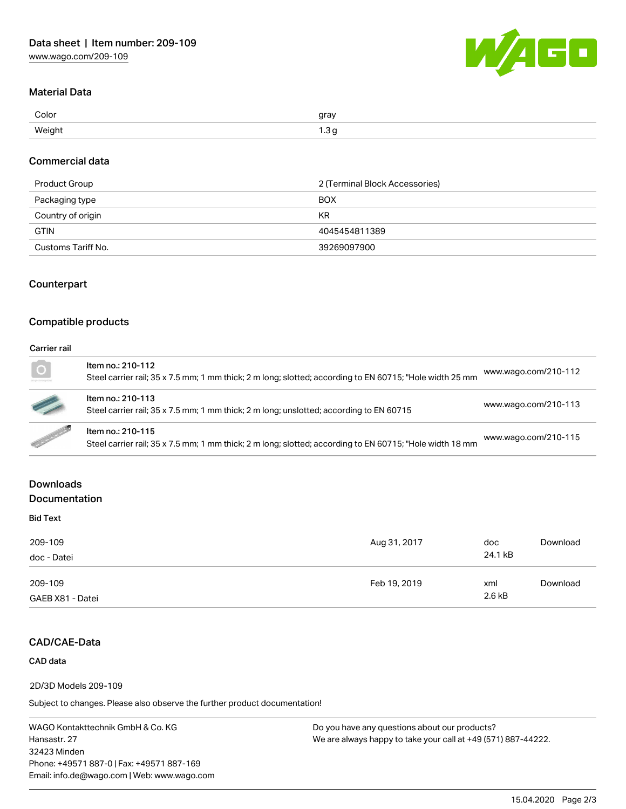

# Material Data

| Color  | gray<br>, a |
|--------|-------------|
| Weight | ں. ا        |

# Commercial data

| Product Group      | 2 (Terminal Block Accessories) |
|--------------------|--------------------------------|
| Packaging type     | <b>BOX</b>                     |
| Country of origin  | KR                             |
| <b>GTIN</b>        | 4045454811389                  |
| Customs Tariff No. | 39269097900                    |

# **Counterpart**

# Compatible products

#### Carrier rail

| $\overline{O}$                                                                                                       | Item no.: 210-112<br>Steel carrier rail; 35 x 7.5 mm; 1 mm thick; 2 m long; slotted; according to EN 60715; "Hole width 25 mm | www.wago.com/210-112 |
|----------------------------------------------------------------------------------------------------------------------|-------------------------------------------------------------------------------------------------------------------------------|----------------------|
|                                                                                                                      | Item no.: 210-113<br>Steel carrier rail; 35 x 7.5 mm; 1 mm thick; 2 m long; unslotted; according to EN 60715                  | www.wago.com/210-113 |
| <b>Contract Contract Contract Contract Contract Contract Contract Contract Contract Contract Contract Contract C</b> | Item no.: 210-115<br>Steel carrier rail; 35 x 7.5 mm; 1 mm thick; 2 m long; slotted; according to EN 60715; "Hole width 18 mm | www.wago.com/210-115 |

# Downloads

# Documentation

| <b>Bid Text</b> |  |  |
|-----------------|--|--|
| 209-109         |  |  |
| doc - Datei     |  |  |
|                 |  |  |

| doc - Datei                 |              | 24.1 kB       |          |  |
|-----------------------------|--------------|---------------|----------|--|
| 209-109<br>GAEB X81 - Datei | Feb 19, 2019 | xml<br>2.6 kB | Download |  |
|                             |              |               |          |  |

# CAD/CAE-Data

# CAD data

2D/3D Models 209-109

Subject to changes. Please also observe the further product documentation!

WAGO Kontakttechnik GmbH & Co. KG Hansastr. 27 32423 Minden Phone: +49571 887-0 | Fax: +49571 887-169 Email: info.de@wago.com | Web: www.wago.com Do you have any questions about our products? We are always happy to take your call at +49 (571) 887-44222.

Aug 31, 2017 doc

[Download](https://www.wago.com/de/d/2257477)